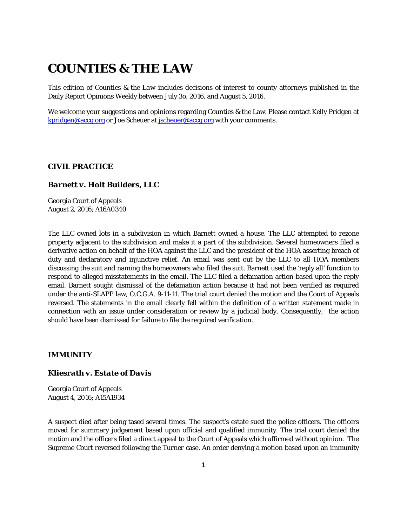# **COUNTIES & THE LAW**

This edition of *Counties & the Law* includes decisions of interest to county attorneys published in the Daily Report Opinions Weekly between July 3o, 2016, and August 5, 2016.

We welcome your suggestions and opinions regarding Counties & the Law. Please contact Kelly Pridgen at [kpridgen@accg.org](mailto:kpridgen@accg.org) or Joe Scheuer at [jscheuer@accg.org](mailto:jscheuer@accg.org) with your comments.

#### *CIVIL PRACTICE*

#### *Barnett v. Holt Builders, LLC*

Georgia Court of Appeals August 2, 2016; A16A0340

The LLC owned lots in a subdivision in which Barnett owned a house. The LLC attempted to rezone property adjacent to the subdivision and make it a part of the subdivision. Several homeowners filed a derivative action on behalf of the HOA against the LLC and the president of the HOA asserting breach of duty and declaratory and injunctive relief. An email was sent out by the LLC to all HOA members discussing the suit and naming the homeowners who filed the suit. Barnett used the 'reply all' function to respond to alleged misstatements in the email. The LLC filed a defamation action based upon the reply email. Barnett sought dismissal of the defamation action because it had not been verified as required under the anti-SLAPP law, O.C.G.A. 9-11-11. The trial court denied the motion and the Court of Appeals reversed. The statements in the email clearly fell within the definition of a written statement made in connection with an issue under consideration or review by a judicial body. Consequently, the action should have been dismissed for failure to file the required verification.

# *IMMUNITY*

### *Kliesrath v. Estate of Davis*

Georgia Court of Appeals August 4, 2016; A15A1934

A suspect died after being tased several times. The suspect's estate sued the police officers. The officers moved for summary judgement based upon official and qualified immunity. The trial court denied the motion and the officers filed a direct appeal to the Court of Appeals which affirmed without opinion. The Supreme Court reversed following the *Turner* case. An order denying a motion based upon an immunity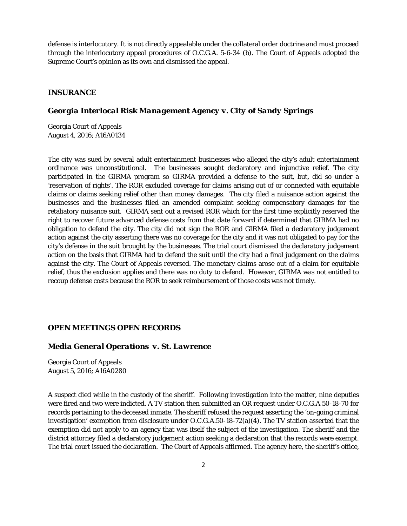defense is interlocutory. It is not directly appealable under the collateral order doctrine and must proceed through the interlocutory appeal procedures of O.C.G.A. 5-6-34 (b). The Court of Appeals adopted the Supreme Court's opinion as its own and dismissed the appeal.

### *INSURANCE*

# *Georgia Interlocal Risk Management Agency v. City of Sandy Springs*

Georgia Court of Appeals August 4, 2016; A16A0134

The city was sued by several adult entertainment businesses who alleged the city's adult entertainment ordinance was unconstitutional. The businesses sought declaratory and injunctive relief. The city participated in the GIRMA program so GIRMA provided a defense to the suit, but, did so under a 'reservation of rights'. The ROR excluded coverage for claims arising out of or connected with equitable claims or claims seeking relief other than money damages. The city filed a nuisance action against the businesses and the businesses filed an amended complaint seeking compensatory damages for the retaliatory nuisance suit. GIRMA sent out a revised ROR which for the first time explicitly reserved the right to recover future advanced defense costs from that date forward if determined that GIRMA had no obligation to defend the city. The city did not sign the ROR and GIRMA filed a declaratory judgement action against the city asserting there was no coverage for the city and it was not obligated to pay for the city's defense in the suit brought by the businesses. The trial court dismissed the declaratory judgement action on the basis that GIRMA had to defend the suit until the city had a final judgement on the claims against the city. The Court of Appeals reversed. The monetary claims arose out of a claim for equitable relief, thus the exclusion applies and there was no duty to defend. However, GIRMA was not entitled to recoup defense costs because the ROR to seek reimbursement of those costs was not timely.

#### *OPEN MEETINGS OPEN RECORDS*

# *Media General Operations v. St. Lawrence*

Georgia Court of Appeals August 5, 2016; A16A0280

A suspect died while in the custody of the sheriff. Following investigation into the matter, nine deputies were fired and two were indicted. A TV station then submitted an OR request under O.C.G.A 50-18-70 for records pertaining to the deceased inmate. The sheriff refused the request asserting the 'on-going criminal investigation' exemption from disclosure under O.C.G.A.50-18-72(a)(4). The TV station asserted that the exemption did not apply to an agency that was itself the subject of the investigation. The sheriff and the district attorney filed a declaratory judgement action seeking a declaration that the records were exempt. The trial court issued the declaration. The Court of Appeals affirmed. The agency here, the sheriff's office,